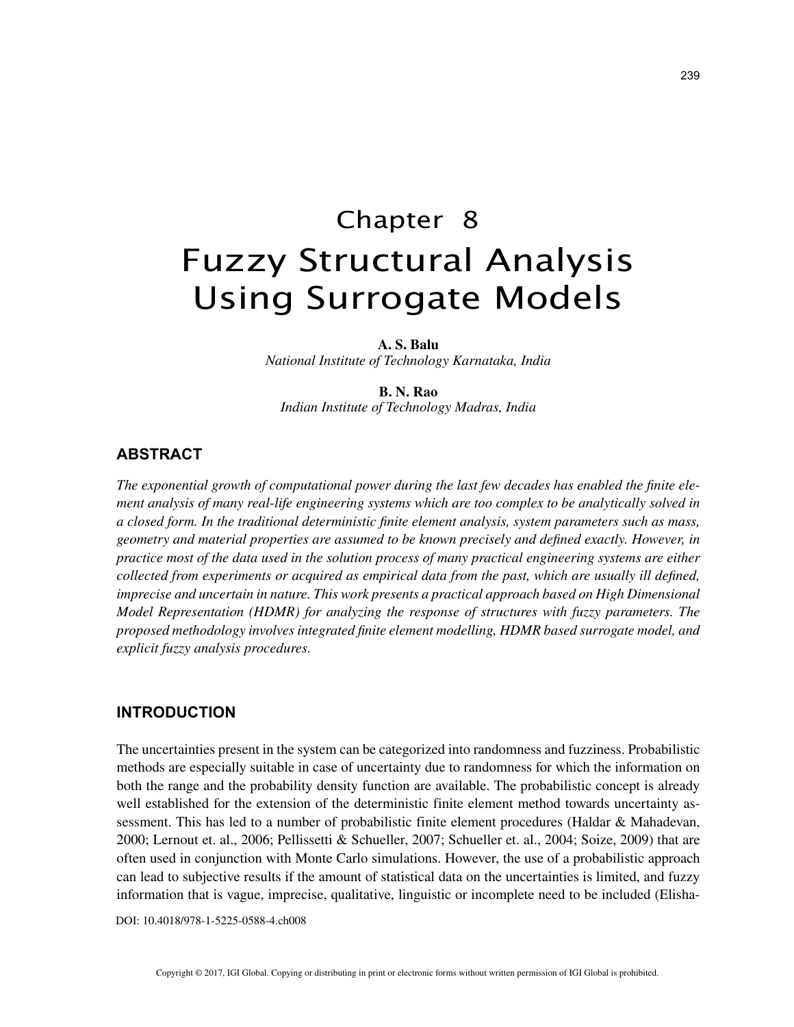# Chapter 8 Fuzzy Structural Analysis Using Surrogate Models

#### **A. S. Balu**

*National Institute of Technology Karnataka, India*

#### **B. N. Rao**

*Indian Institute of Technology Madras, India*

#### **ABSTRACT**

*The exponential growth of computational power during the last few decades has enabled the finite element analysis of many real-life engineering systems which are too complex to be analytically solved in a closed form. In the traditional deterministic finite element analysis, system parameters such as mass, geometry and material properties are assumed to be known precisely and defined exactly. However, in practice most of the data used in the solution process of many practical engineering systems are either collected from experiments or acquired as empirical data from the past, which are usually ill defined, imprecise and uncertain in nature. This work presents a practical approach based on High Dimensional Model Representation (HDMR) for analyzing the response of structures with fuzzy parameters. The proposed methodology involves integrated finite element modelling, HDMR based surrogate model, and explicit fuzzy analysis procedures.*

#### **INTRODUCTION**

The uncertainties present in the system can be categorized into randomness and fuzziness. Probabilistic methods are especially suitable in case of uncertainty due to randomness for which the information on both the range and the probability density function are available. The probabilistic concept is already well established for the extension of the deterministic finite element method towards uncertainty assessment. This has led to a number of probabilistic finite element procedures (Haldar & Mahadevan, 2000; Lernout et. al., 2006; Pellissetti & Schueller, 2007; Schueller et. al., 2004; Soize, 2009) that are often used in conjunction with Monte Carlo simulations. However, the use of a probabilistic approach can lead to subjective results if the amount of statistical data on the uncertainties is limited, and fuzzy information that is vague, imprecise, qualitative, linguistic or incomplete need to be included (Elisha-

DOI: 10.4018/978-1-5225-0588-4.ch008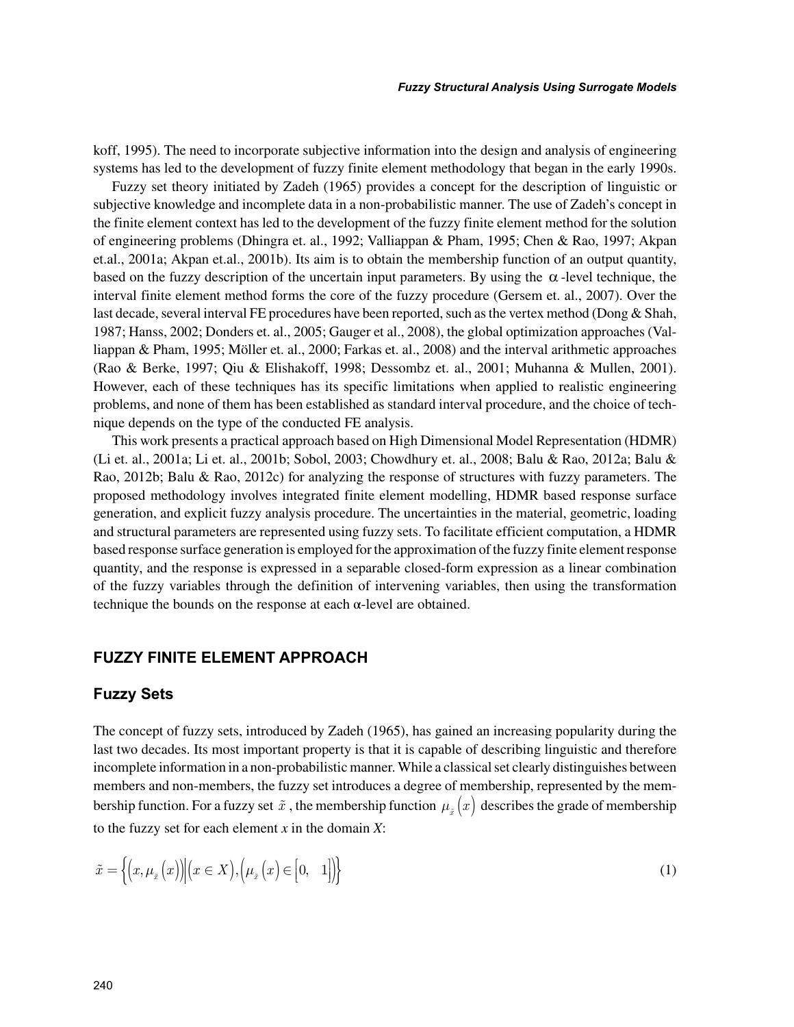koff, 1995). The need to incorporate subjective information into the design and analysis of engineering systems has led to the development of fuzzy finite element methodology that began in the early 1990s.

Fuzzy set theory initiated by Zadeh (1965) provides a concept for the description of linguistic or subjective knowledge and incomplete data in a non-probabilistic manner. The use of Zadeh's concept in the finite element context has led to the development of the fuzzy finite element method for the solution of engineering problems (Dhingra et. al., 1992; Valliappan & Pham, 1995; Chen & Rao, 1997; Akpan et.al., 2001a; Akpan et.al., 2001b). Its aim is to obtain the membership function of an output quantity, based on the fuzzy description of the uncertain input parameters. By using the  $\alpha$ -level technique, the interval finite element method forms the core of the fuzzy procedure (Gersem et. al., 2007). Over the last decade, several interval FE procedures have been reported, such as the vertex method (Dong & Shah, 1987; Hanss, 2002; Donders et. al., 2005; Gauger et al., 2008), the global optimization approaches (Valliappan & Pham, 1995; Möller et. al., 2000; Farkas et. al., 2008) and the interval arithmetic approaches (Rao & Berke, 1997; Qiu & Elishakoff, 1998; Dessombz et. al., 2001; Muhanna & Mullen, 2001). However, each of these techniques has its specific limitations when applied to realistic engineering problems, and none of them has been established as standard interval procedure, and the choice of technique depends on the type of the conducted FE analysis.

This work presents a practical approach based on High Dimensional Model Representation (HDMR) (Li et. al., 2001a; Li et. al., 2001b; Sobol, 2003; Chowdhury et. al., 2008; Balu & Rao, 2012a; Balu & Rao, 2012b; Balu & Rao, 2012c) for analyzing the response of structures with fuzzy parameters. The proposed methodology involves integrated finite element modelling, HDMR based response surface generation, and explicit fuzzy analysis procedure. The uncertainties in the material, geometric, loading and structural parameters are represented using fuzzy sets. To facilitate efficient computation, a HDMR based response surface generation is employed for the approximation of the fuzzy finite element response quantity, and the response is expressed in a separable closed-form expression as a linear combination of the fuzzy variables through the definition of intervening variables, then using the transformation technique the bounds on the response at each  $\alpha$ -level are obtained.

## **FUZZY FINITE ELEMENT APPROACH**

## **Fuzzy Sets**

The concept of fuzzy sets, introduced by Zadeh (1965), has gained an increasing popularity during the last two decades. Its most important property is that it is capable of describing linguistic and therefore incomplete information in a non-probabilistic manner. While a classical set clearly distinguishes between members and non-members, the fuzzy set introduces a degree of membership, represented by the membership function. For a fuzzy set  $\tilde{x}$ , the membership function  $\mu_{\tilde{x}}(x)$  describes the grade of membership to the fuzzy set for each element *x* in the domain *X*:

$$
\tilde{x} = \left\{ \left( x, \mu_{\tilde{x}} \left( x \right) \right) \middle| \left( x \in X \right), \left( \mu_{\tilde{x}} \left( x \right) \in \left[ 0, 1 \right] \right) \right\} \tag{1}
$$